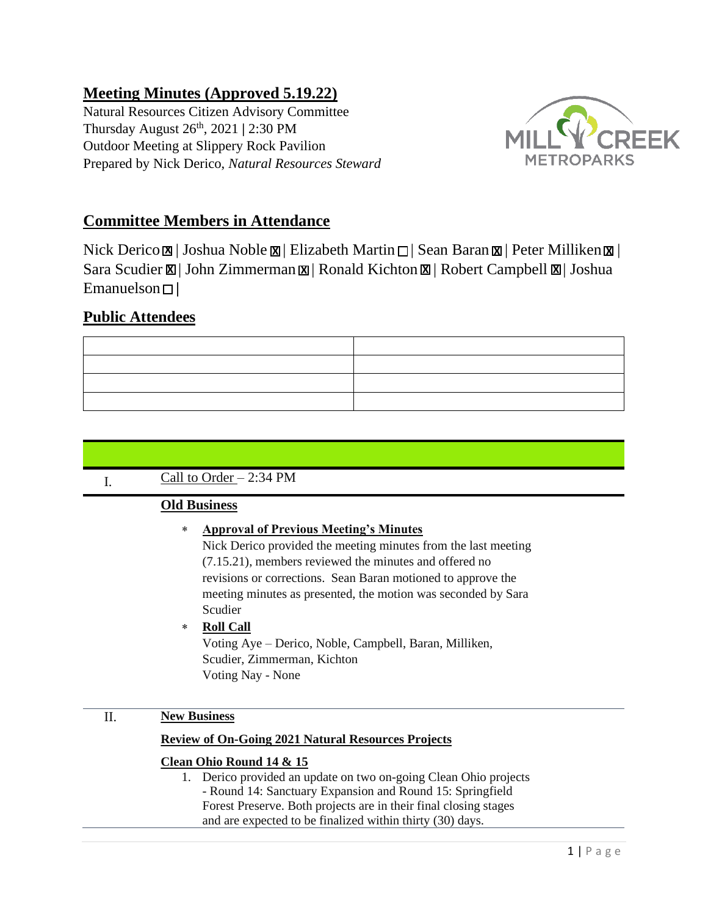# **Meeting Minutes (Approved 5.19.22)**

Natural Resources Citizen Advisory Committee Thursday August 26th, 2021 **|** 2:30 PM Outdoor Meeting at Slippery Rock Pavilion Prepared by Nick Derico, *Natural Resources Steward* 



# **Committee Members in Attendance**

**X** Nick Derico  $\boxtimes$  | Joshua Noble  $\boxtimes$  | Elizabeth Martin  $\Box$  | Sean Baran  $\boxtimes$  | Peter Milliken  $\boxtimes$  | **Sara Scudier**  $\boxtimes$  **| John Zimmerman**  $\boxtimes$  **| Ronald Kichton**  $\boxtimes$  **| Robert Campbell**  $\boxtimes$  **| Joshua** Emanuelson **|**

# **Public Attendees**

# I. Call to Order – 2:34 PM

## **Old Business**

## **Approval of Previous Meeting's Minutes**

Nick Derico provided the meeting minutes from the last meeting (7.15.21), members reviewed the minutes and offered no revisions or corrections. Sean Baran motioned to approve the meeting minutes as presented, the motion was seconded by Sara Scudier

## **Roll Call**

Voting Aye – Derico, Noble, Campbell, Baran, Milliken, Scudier, Zimmerman, Kichton Voting Nay - None

## II. **New Business**

### **Review of On-Going 2021 Natural Resources Projects**

## **Clean Ohio Round 14 & 15**

1. Derico provided an update on two on-going Clean Ohio projects - Round 14: Sanctuary Expansion and Round 15: Springfield Forest Preserve. Both projects are in their final closing stages and are expected to be finalized within thirty (30) days.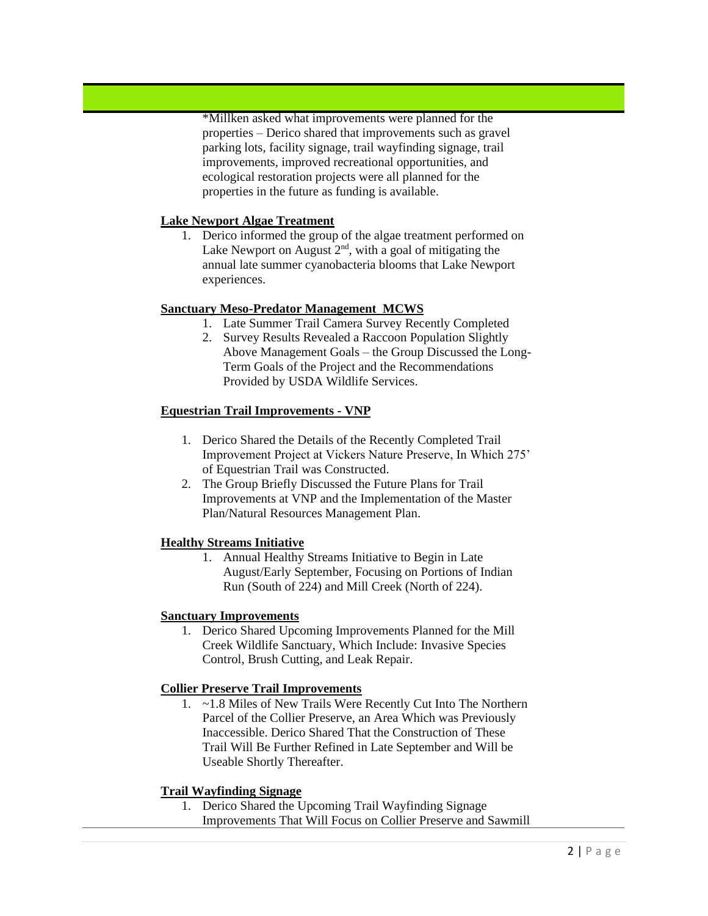\*Millken asked what improvements were planned for the properties – Derico shared that improvements such as gravel parking lots, facility signage, trail wayfinding signage, trail improvements, improved recreational opportunities, and ecological restoration projects were all planned for the properties in the future as funding is available.

### **Lake Newport Algae Treatment**

1. Derico informed the group of the algae treatment performed on Lake Newport on August  $2<sup>nd</sup>$ , with a goal of mitigating the annual late summer cyanobacteria blooms that Lake Newport experiences.

### **Sanctuary Meso-Predator Management MCWS**

- 1. Late Summer Trail Camera Survey Recently Completed
- 2. Survey Results Revealed a Raccoon Population Slightly Above Management Goals – the Group Discussed the Long-Term Goals of the Project and the Recommendations Provided by USDA Wildlife Services.

### **Equestrian Trail Improvements - VNP**

- 1. Derico Shared the Details of the Recently Completed Trail Improvement Project at Vickers Nature Preserve, In Which 275' of Equestrian Trail was Constructed.
- 2. The Group Briefly Discussed the Future Plans for Trail Improvements at VNP and the Implementation of the Master Plan/Natural Resources Management Plan.

#### **Healthy Streams Initiative**

1. Annual Healthy Streams Initiative to Begin in Late August/Early September, Focusing on Portions of Indian Run (South of 224) and Mill Creek (North of 224).

#### **Sanctuary Improvements**

1. Derico Shared Upcoming Improvements Planned for the Mill Creek Wildlife Sanctuary, Which Include: Invasive Species Control, Brush Cutting, and Leak Repair.

### **Collier Preserve Trail Improvements**

1. ~1.8 Miles of New Trails Were Recently Cut Into The Northern Parcel of the Collier Preserve, an Area Which was Previously Inaccessible. Derico Shared That the Construction of These Trail Will Be Further Refined in Late September and Will be Useable Shortly Thereafter.

#### **Trail Wayfinding Signage**

1. Derico Shared the Upcoming Trail Wayfinding Signage Improvements That Will Focus on Collier Preserve and Sawmill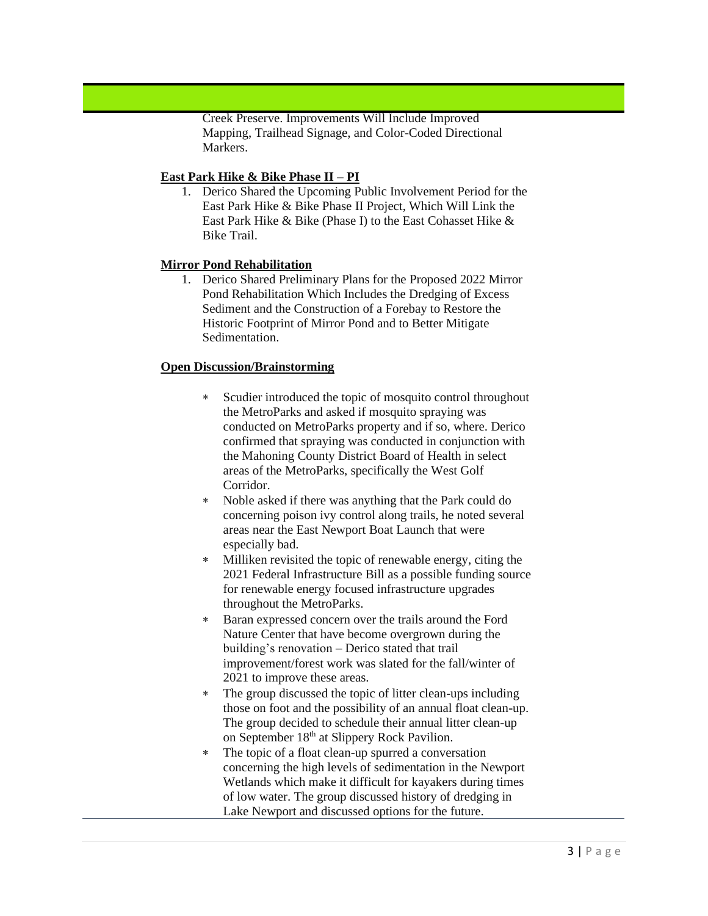Creek Preserve. Improvements Will Include Improved Mapping, Trailhead Signage, and Color-Coded Directional Markers.

#### **East Park Hike & Bike Phase II – PI**

1. Derico Shared the Upcoming Public Involvement Period for the East Park Hike & Bike Phase II Project, Which Will Link the East Park Hike & Bike (Phase I) to the East Cohasset Hike & Bike Trail.

### **Mirror Pond Rehabilitation**

1. Derico Shared Preliminary Plans for the Proposed 2022 Mirror Pond Rehabilitation Which Includes the Dredging of Excess Sediment and the Construction of a Forebay to Restore the Historic Footprint of Mirror Pond and to Better Mitigate Sedimentation.

### **Open Discussion/Brainstorming**

- Scudier introduced the topic of mosquito control throughout the MetroParks and asked if mosquito spraying was conducted on MetroParks property and if so, where. Derico confirmed that spraying was conducted in conjunction with the Mahoning County District Board of Health in select areas of the MetroParks, specifically the West Golf Corridor.
- Noble asked if there was anything that the Park could do concerning poison ivy control along trails, he noted several areas near the East Newport Boat Launch that were especially bad.
- Milliken revisited the topic of renewable energy, citing the 2021 Federal Infrastructure Bill as a possible funding source for renewable energy focused infrastructure upgrades throughout the MetroParks.
- Baran expressed concern over the trails around the Ford Nature Center that have become overgrown during the building's renovation – Derico stated that trail improvement/forest work was slated for the fall/winter of 2021 to improve these areas.
- The group discussed the topic of litter clean-ups including those on foot and the possibility of an annual float clean-up. The group decided to schedule their annual litter clean-up on September 18<sup>th</sup> at Slippery Rock Pavilion.
- The topic of a float clean-up spurred a conversation concerning the high levels of sedimentation in the Newport Wetlands which make it difficult for kayakers during times of low water. The group discussed history of dredging in Lake Newport and discussed options for the future.